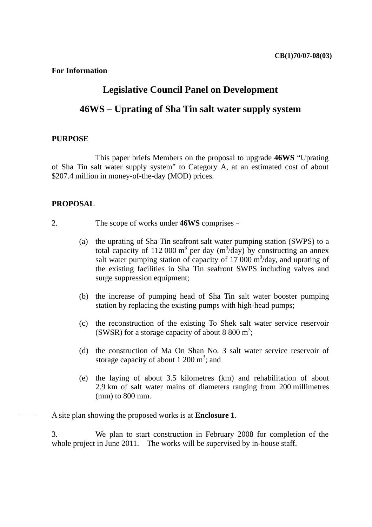**For Information** 

## **Legislative Council Panel on Development**

# **46WS – Uprating of Sha Tin salt water supply system**

#### **PURPOSE**

 This paper briefs Members on the proposal to upgrade **46WS** "Uprating of Sha Tin salt water supply system" to Category A, at an estimated cost of about \$207.4 million in money-of-the-day (MOD) prices.

### **PROPOSAL**

- 2. The scope of works under **46WS** comprises–
	- (a) the uprating of Sha Tin seafront salt water pumping station (SWPS) to a total capacity of 112 000 m<sup>3</sup> per day (m<sup>3</sup>/day) by constructing an annex salt water pumping station of capacity of  $17\,000 \text{ m}^3/\text{day}$ , and uprating of the existing facilities in Sha Tin seafront SWPS including valves and surge suppression equipment;
	- (b) the increase of pumping head of Sha Tin salt water booster pumping station by replacing the existing pumps with high-head pumps;
	- (c) the reconstruction of the existing To Shek salt water service reservoir (SWSR) for a storage capacity of about 8 800 m<sup>3</sup>;
	- (d) the construction of Ma On Shan No. 3 salt water service reservoir of storage capacity of about 1 200  $m^3$ ; and
	- (e) the laying of about 3.5 kilometres (km) and rehabilitation of about 2.9 km of salt water mains of diameters ranging from 200 millimetres (mm) to 800 mm.

A site plan showing the proposed works is at **Enclosure 1**.

3. We plan to start construction in February 2008 for completion of the whole project in June 2011. The works will be supervised by in-house staff.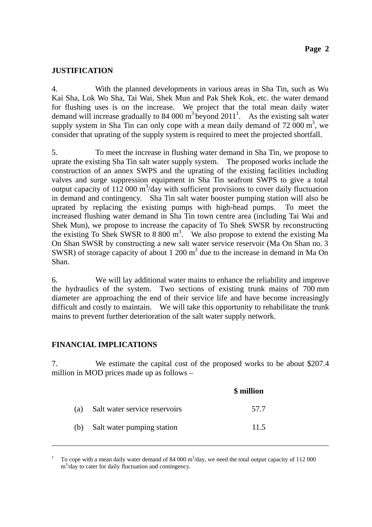## **JUSTIFICATION**

4. With the planned developments in various areas in Sha Tin, such as Wu Kai Sha, Lok Wo Sha, Tai Wai, Shek Mun and Pak Shek Kok, etc. the water demand for flushing uses is on the increase. We project that the total mean daily water demand will increase gradually to 84 000  $m^3$  beyond 2011<sup>1</sup>. As the existing salt water supply system in Sha Tin can only cope with a mean daily demand of  $72\,000\,\mathrm{m}^3$ , we consider that uprating of the supply system is required to meet the projected shortfall.

5. To meet the increase in flushing water demand in Sha Tin, we propose to uprate the existing Sha Tin salt water supply system. The proposed works include the construction of an annex SWPS and the uprating of the existing facilities including valves and surge suppression equipment in Sha Tin seafront SWPS to give a total output capacity of  $112\,000 \text{ m}^3/\text{day}$  with sufficient provisions to cover daily fluctuation in demand and contingency. Sha Tin salt water booster pumping station will also be uprated by replacing the existing pumps with high-head pumps. To meet the increased flushing water demand in Sha Tin town centre area (including Tai Wai and Shek Mun), we propose to increase the capacity of To Shek SWSR by reconstructing the existing To Shek SWSR to 8 800  $m^3$ . We also propose to extend the existing Ma On Shan SWSR by constructing a new salt water service reservoir (Ma On Shan no. 3 SWSR) of storage capacity of about  $1200 \text{ m}^3$  due to the increase in demand in Ma On Shan.

6. We will lay additional water mains to enhance the reliability and improve the hydraulics of the system. Two sections of existing trunk mains of 700 mm diameter are approaching the end of their service life and have become increasingly difficult and costly to maintain. We will take this opportunity to rehabilitate the trunk mains to prevent further deterioration of the salt water supply network.

## **FINANCIAL IMPLICATIONS**

7. We estimate the capital cost of the proposed works to be about \$207.4 million in MOD prices made up as follows –

|     |                               | \$ million |
|-----|-------------------------------|------------|
| (a) | Salt water service reservoirs | 57.7       |
| (b) | Salt water pumping station    | 11.5       |

<sup>1</sup> To cope with a mean daily water demand of 84 000  $\text{m}^3/\text{day}$ , we need the total output capacity of 112 000 m<sup>3</sup>/day to cater for daily fluctuation and contingency.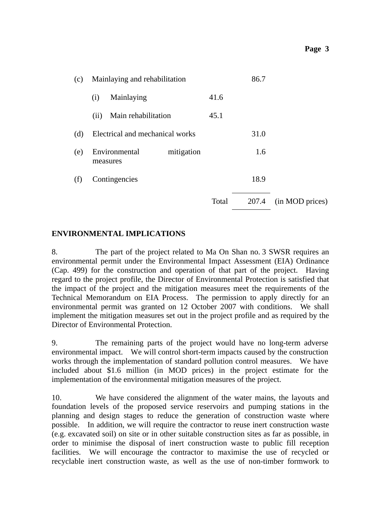| (c) | Mainlaying and rehabilitation |                                 |            |       |       |                 |
|-----|-------------------------------|---------------------------------|------------|-------|-------|-----------------|
|     | (i)                           | Mainlaying                      |            | 41.6  |       |                 |
|     | (ii)                          | Main rehabilitation             |            | 45.1  |       |                 |
| (d) |                               | Electrical and mechanical works |            |       | 31.0  |                 |
| (e) |                               | Environmental<br>measures       | mitigation |       | 1.6   |                 |
| (f) |                               | Contingencies                   |            |       | 18.9  |                 |
|     |                               |                                 |            | Total | 207.4 | (in MOD prices) |

### **ENVIRONMENTAL IMPLICATIONS**

8. The part of the project related to Ma On Shan no. 3 SWSR requires an environmental permit under the Environmental Impact Assessment (EIA) Ordinance (Cap. 499) for the construction and operation of that part of the project. Having regard to the project profile, the Director of Environmental Protection is satisfied that the impact of the project and the mitigation measures meet the requirements of the Technical Memorandum on EIA Process. The permission to apply directly for an environmental permit was granted on 12 October 2007 with conditions. We shall implement the mitigation measures set out in the project profile and as required by the Director of Environmental Protection.

9. The remaining parts of the project would have no long-term adverse environmental impact. We will control short-term impacts caused by the construction works through the implementation of standard pollution control measures. We have included about \$1.6 million (in MOD prices) in the project estimate for the implementation of the environmental mitigation measures of the project.

10. We have considered the alignment of the water mains, the layouts and foundation levels of the proposed service reservoirs and pumping stations in the planning and design stages to reduce the generation of construction waste where possible. In addition, we will require the contractor to reuse inert construction waste (e.g. excavated soil) on site or in other suitable construction sites as far as possible, in order to minimise the disposal of inert construction waste to public fill reception facilities. We will encourage the contractor to maximise the use of recycled or recyclable inert construction waste, as well as the use of non-timber formwork to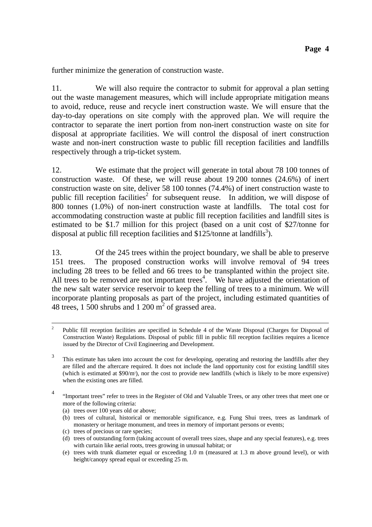further minimize the generation of construction waste.

11. We will also require the contractor to submit for approval a plan setting out the waste management measures, which will include appropriate mitigation means to avoid, reduce, reuse and recycle inert construction waste. We will ensure that the day-to-day operations on site comply with the approved plan. We will require the contractor to separate the inert portion from non-inert construction waste on site for disposal at appropriate facilities. We will control the disposal of inert construction waste and non-inert construction waste to public fill reception facilities and landfills respectively through a trip-ticket system.

12. We estimate that the project will generate in total about 78 100 tonnes of construction waste. Of these, we will reuse about 19 200 tonnes (24.6%) of inert construction waste on site, deliver 58 100 tonnes (74.4%) of inert construction waste to public fill reception facilities<sup>2</sup> for subsequent reuse. In addition, we will dispose of 800 tonnes (1.0%) of non-inert construction waste at landfills. The total cost for accommodating construction waste at public fill reception facilities and landfill sites is estimated to be \$1.7 million for this project (based on a unit cost of \$27/tonne for disposal at public fill reception facilities and  $$125/tonne$  at landfills<sup>3</sup>).

13. Of the 245 trees within the project boundary, we shall be able to preserve 151 trees. The proposed construction works will involve removal of 94 trees including 28 trees to be felled and 66 trees to be transplanted within the project site. All trees to be removed are not important trees<sup>4</sup>. We have adjusted the orientation of the new salt water service reservoir to keep the felling of trees to a minimum. We will incorporate planting proposals as part of the project, including estimated quantities of 48 trees, 1 500 shrubs and 1 200  $\text{m}^2$  of grassed area.

- (a) trees over 100 years old or above;
- (b) trees of cultural, historical or memorable significance, e.g. Fung Shui trees, trees as landmark of monastery or heritage monument, and trees in memory of important persons or events;
- (c) trees of precious or rare species;
- (d) trees of outstanding form (taking account of overall trees sizes, shape and any special features), e.g. trees with curtain like aerial roots, trees growing in unusual habitat; or
- (e) trees with trunk diameter equal or exceeding 1.0 m (measured at 1.3 m above ground level), or with height/canopy spread equal or exceeding 25 m.

 $\frac{1}{2}$ <sup>2</sup> Public fill reception facilities are specified in Schedule 4 of the Waste Disposal (Charges for Disposal of Construction Waste) Regulations. Disposal of public fill in public fill reception facilities requires a licence issued by the Director of Civil Engineering and Development.

<sup>3</sup> This estimate has taken into account the cost for developing, operating and restoring the landfills after they are filled and the aftercare required. It does not include the land opportunity cost for existing landfill sites (which is estimated at  $$90/m$ ), nor the cost to provide new landfills (which is likely to be more expensive) when the existing ones are filled.

<sup>4</sup> "Important trees" refer to trees in the Register of Old and Valuable Trees, or any other trees that meet one or more of the following criteria: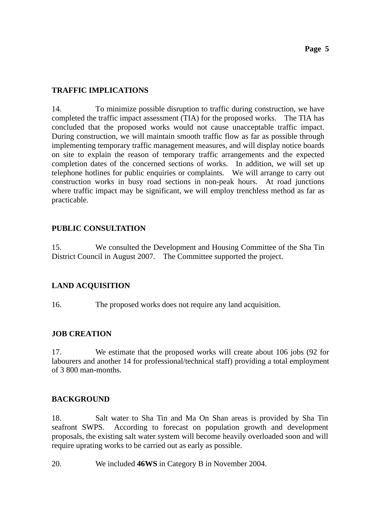## **TRAFFIC IMPLICATIONS**

14. To minimize possible disruption to traffic during construction, we have completed the traffic impact assessment (TIA) for the proposed works. The TIA has concluded that the proposed works would not cause unacceptable traffic impact. During construction, we will maintain smooth traffic flow as far as possible through implementing temporary traffic management measures, and will display notice boards on site to explain the reason of temporary traffic arrangements and the expected completion dates of the concerned sections of works. In addition, we will set up telephone hotlines for public enquiries or complaints. We will arrange to carry out construction works in busy road sections in non-peak hours. At road junctions where traffic impact may be significant, we will employ trenchless method as far as practicable.

## **PUBLIC CONSULTATION**

15. We consulted the Development and Housing Committee of the Sha Tin District Council in August 2007. The Committee supported the project.

## **LAND ACQUISITION**

16. The proposed works does not require any land acquisition.

### **JOB CREATION**

17. We estimate that the proposed works will create about 106 jobs (92 for labourers and another 14 for professional/technical staff) providing a total employment of 3 800 man-months.

### **BACKGROUND**

18. Salt water to Sha Tin and Ma On Shan areas is provided by Sha Tin seafront SWPS. According to forecast on population growth and development proposals, the existing salt water system will become heavily overloaded soon and will require uprating works to be carried out as early as possible.

20. We included **46WS** in Category B in November 2004.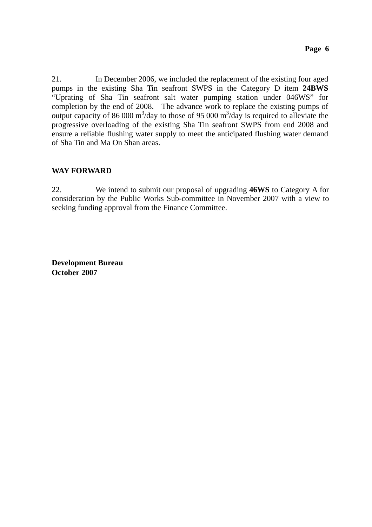21. In December 2006, we included the replacement of the existing four aged pumps in the existing Sha Tin seafront SWPS in the Category D item **24BWS** "Uprating of Sha Tin seafront salt water pumping station under 046WS" for completion by the end of 2008. The advance work to replace the existing pumps of output capacity of 86 000 m<sup>3</sup>/day to those of 95 000 m<sup>3</sup>/day is required to alleviate the progressive overloading of the existing Sha Tin seafront SWPS from end 2008 and ensure a reliable flushing water supply to meet the anticipated flushing water demand of Sha Tin and Ma On Shan areas.

### **WAY FORWARD**

22. We intend to submit our proposal of upgrading **46WS** to Category A for consideration by the Public Works Sub-committee in November 2007 with a view to seeking funding approval from the Finance Committee.

**Development Bureau October 2007**